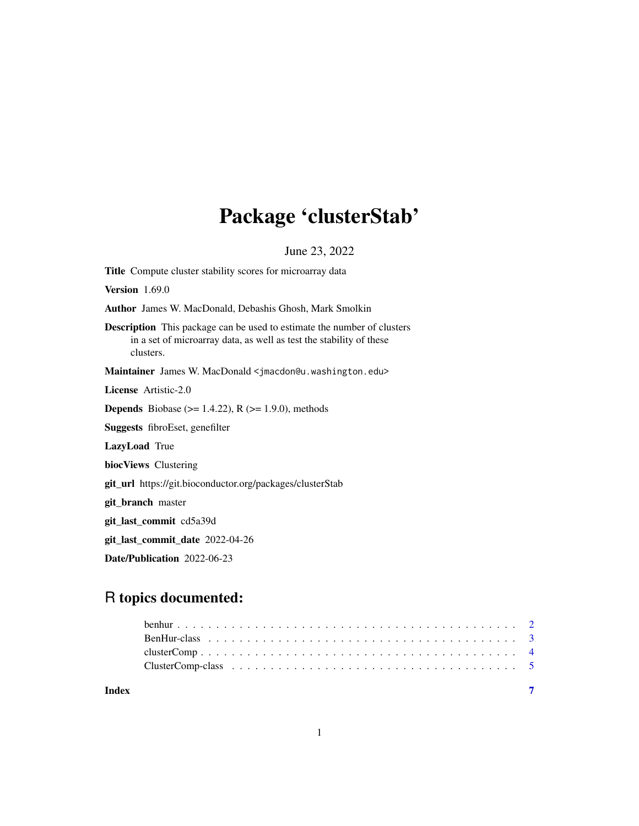## Package 'clusterStab'

June 23, 2022

Title Compute cluster stability scores for microarray data Version 1.69.0 Author James W. MacDonald, Debashis Ghosh, Mark Smolkin Description This package can be used to estimate the number of clusters in a set of microarray data, as well as test the stability of these clusters. Maintainer James W. MacDonald <jmacdon@u.washington.edu> License Artistic-2.0 **Depends** Biobase ( $>= 1.4.22$ ), R ( $>= 1.9.0$ ), methods Suggests fibroEset, genefilter LazyLoad True biocViews Clustering git\_url https://git.bioconductor.org/packages/clusterStab git\_branch master git\_last\_commit cd5a39d git\_last\_commit\_date 2022-04-26 Date/Publication 2022-06-23

### R topics documented:

| Index |  |
|-------|--|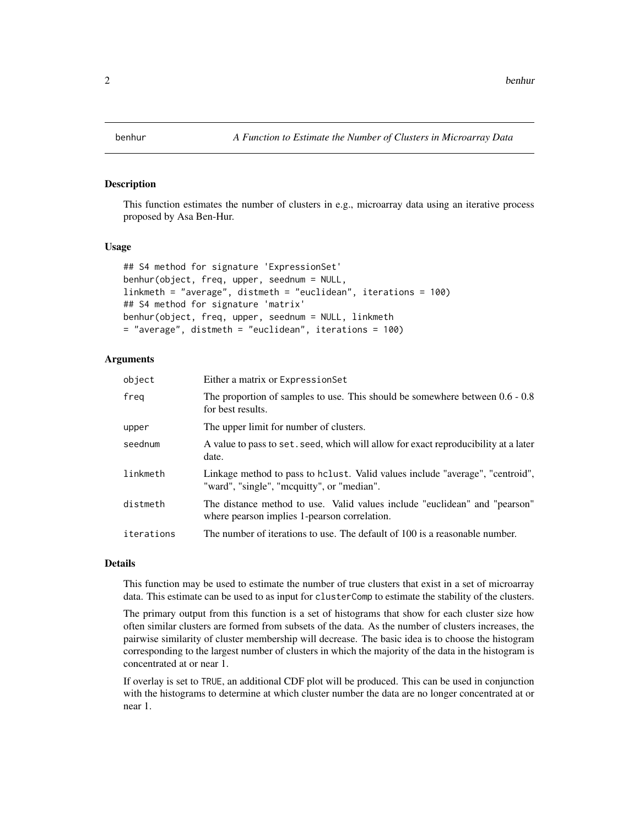<span id="page-1-0"></span>

#### Description

This function estimates the number of clusters in e.g., microarray data using an iterative process proposed by Asa Ben-Hur.

#### Usage

```
## S4 method for signature 'ExpressionSet'
benhur(object, freq, upper, seednum = NULL,
linkmeth = "average", distmeth = "euclidean", iterations = 100)
## S4 method for signature 'matrix'
benhur(object, freq, upper, seednum = NULL, linkmeth
= "average", distmeth = "euclidean", iterations = 100)
```
#### Arguments

| object     | Either a matrix or Expression Set                                                                                           |
|------------|-----------------------------------------------------------------------------------------------------------------------------|
| freg       | The proportion of samples to use. This should be somewhere between $0.6 - 0.8$<br>for best results.                         |
| upper      | The upper limit for number of clusters.                                                                                     |
| seednum    | A value to pass to set, seed, which will allow for exact reproducibility at a later<br>date.                                |
| linkmeth   | Linkage method to pass to holist. Valid values include "average", "centroid",<br>"ward", "single", "mcquitty", or "median". |
| distmeth   | The distance method to use. Valid values include "euclidean" and "pearson"<br>where pearson implies 1-pearson correlation.  |
| iterations | The number of iterations to use. The default of 100 is a reasonable number.                                                 |

#### Details

This function may be used to estimate the number of true clusters that exist in a set of microarray data. This estimate can be used to as input for clusterComp to estimate the stability of the clusters.

The primary output from this function is a set of histograms that show for each cluster size how often similar clusters are formed from subsets of the data. As the number of clusters increases, the pairwise similarity of cluster membership will decrease. The basic idea is to choose the histogram corresponding to the largest number of clusters in which the majority of the data in the histogram is concentrated at or near 1.

If overlay is set to TRUE, an additional CDF plot will be produced. This can be used in conjunction with the histograms to determine at which cluster number the data are no longer concentrated at or near 1.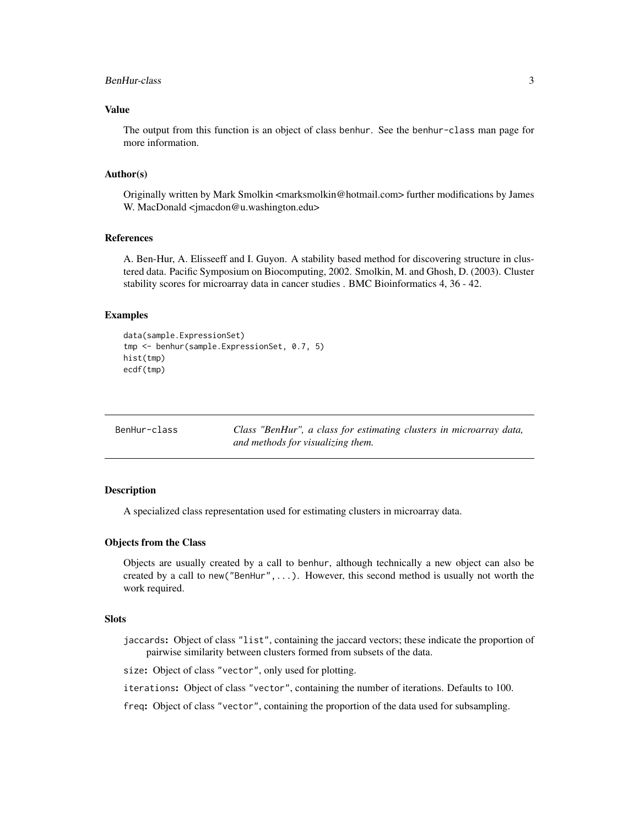#### <span id="page-2-0"></span>BenHur-class 3

#### Value

The output from this function is an object of class benhur. See the benhur-class man page for more information.

#### Author(s)

Originally written by Mark Smolkin <marksmolkin@hotmail.com> further modifications by James W. MacDonald <jmacdon@u.washington.edu>

#### References

A. Ben-Hur, A. Elisseeff and I. Guyon. A stability based method for discovering structure in clustered data. Pacific Symposium on Biocomputing, 2002. Smolkin, M. and Ghosh, D. (2003). Cluster stability scores for microarray data in cancer studies . BMC Bioinformatics 4, 36 - 42.

#### Examples

```
data(sample.ExpressionSet)
tmp <- benhur(sample.ExpressionSet, 0.7, 5)
hist(tmp)
ecdf(tmp)
```

| BenHur-class |
|--------------|
|              |

BenHur-class *Class "BenHur", a class for estimating clusters in microarray data, and methods for visualizing them.*

#### Description

A specialized class representation used for estimating clusters in microarray data.

#### Objects from the Class

Objects are usually created by a call to benhur, although technically a new object can also be created by a call to new("BenHur",...). However, this second method is usually not worth the work required.

#### Slots

jaccards: Object of class "list", containing the jaccard vectors; these indicate the proportion of pairwise similarity between clusters formed from subsets of the data.

size: Object of class "vector", only used for plotting.

iterations: Object of class "vector", containing the number of iterations. Defaults to 100.

freq: Object of class "vector", containing the proportion of the data used for subsampling.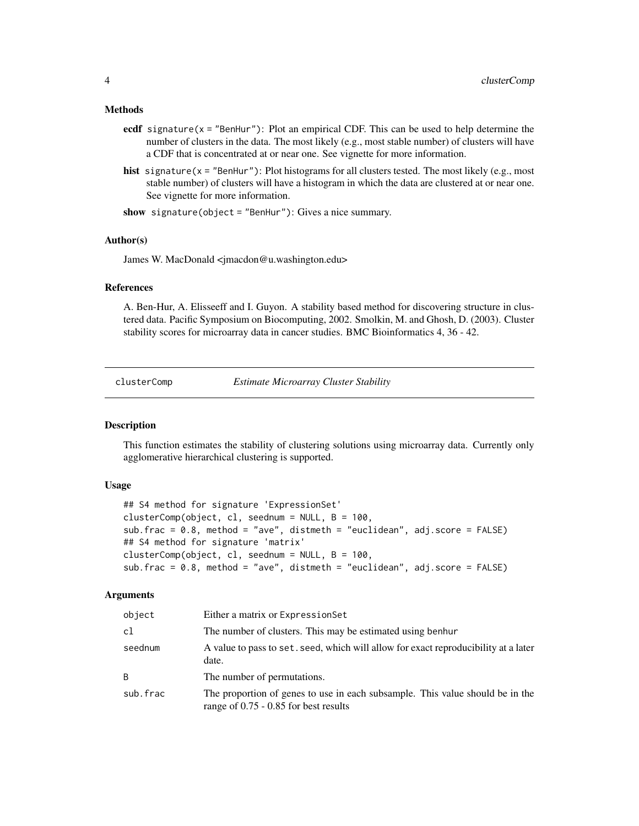#### <span id="page-3-0"></span>Methods

- ecdf signature( $x =$ "BenHur"): Plot an empirical CDF. This can be used to help determine the number of clusters in the data. The most likely (e.g., most stable number) of clusters will have a CDF that is concentrated at or near one. See vignette for more information.
- hist signature(x = "BenHur"): Plot histograms for all clusters tested. The most likely (e.g., most stable number) of clusters will have a histogram in which the data are clustered at or near one. See vignette for more information.

show signature(object = "BenHur"): Gives a nice summary.

#### Author(s)

James W. MacDonald <jmacdon@u.washington.edu>

#### References

A. Ben-Hur, A. Elisseeff and I. Guyon. A stability based method for discovering structure in clustered data. Pacific Symposium on Biocomputing, 2002. Smolkin, M. and Ghosh, D. (2003). Cluster stability scores for microarray data in cancer studies. BMC Bioinformatics 4, 36 - 42.

clusterComp *Estimate Microarray Cluster Stability*

#### **Description**

This function estimates the stability of clustering solutions using microarray data. Currently only agglomerative hierarchical clustering is supported.

#### Usage

```
## S4 method for signature 'ExpressionSet'
clusterComp(object, cl, seednum = NULL, B = 100,sub.frac = 0.8, method = "ave", distmeth = "euclidean", adj.score = FALSE)
## S4 method for signature 'matrix'
clusterComp(object, cl, seednum = NULL, B = 100,
sub.frac = 0.8, method = "ave", distmeth = "euclidean", adj.score = FALSE)
```
#### Arguments

| object   | Either a matrix or Expression Set                                                                                        |
|----------|--------------------------------------------------------------------------------------------------------------------------|
| cl       | The number of clusters. This may be estimated using benhur                                                               |
| seednum  | A value to pass to set, seed, which will allow for exact reproducibility at a later<br>date.                             |
| B        | The number of permutations.                                                                                              |
| sub.frac | The proportion of genes to use in each subsample. This value should be in the<br>range of $0.75 - 0.85$ for best results |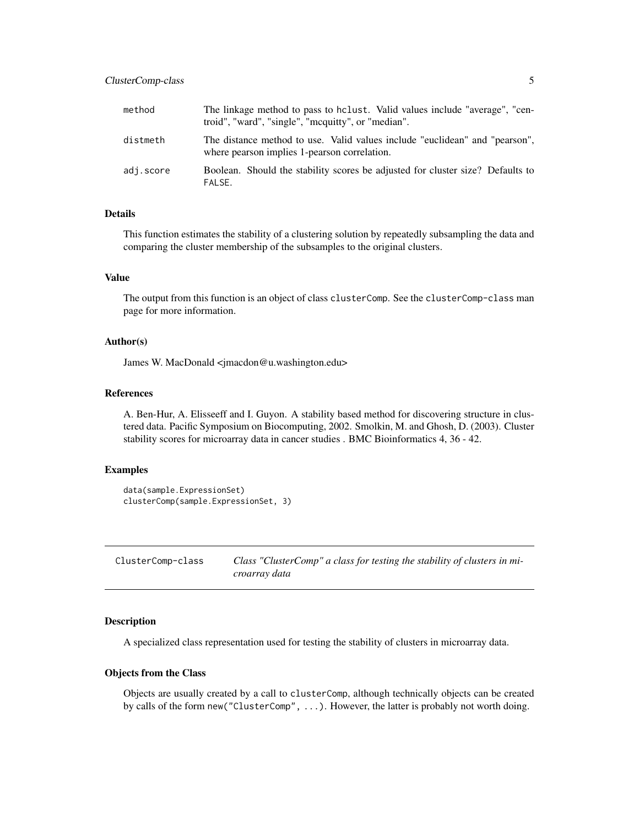#### <span id="page-4-0"></span>ClusterComp-class 5

| method    | The linkage method to pass to holast. Valid values include "average", "cen-<br>troid", "ward", "single", "mcquitty", or "median". |
|-----------|-----------------------------------------------------------------------------------------------------------------------------------|
| distmeth  | The distance method to use. Valid values include "euclidean" and "pearson",<br>where pearson implies 1-pearson correlation.       |
| adj.score | Boolean. Should the stability scores be adjusted for cluster size? Defaults to<br>FALSE.                                          |

#### Details

This function estimates the stability of a clustering solution by repeatedly subsampling the data and comparing the cluster membership of the subsamples to the original clusters.

#### Value

The output from this function is an object of class clusterComp. See the clusterComp-class man page for more information.

#### Author(s)

James W. MacDonald <jmacdon@u.washington.edu>

#### References

A. Ben-Hur, A. Elisseeff and I. Guyon. A stability based method for discovering structure in clustered data. Pacific Symposium on Biocomputing, 2002. Smolkin, M. and Ghosh, D. (2003). Cluster stability scores for microarray data in cancer studies . BMC Bioinformatics 4, 36 - 42.

#### Examples

```
data(sample.ExpressionSet)
clusterComp(sample.ExpressionSet, 3)
```

| ClusterComp-class | Class "ClusterComp" a class for testing the stability of clusters in mi- |
|-------------------|--------------------------------------------------------------------------|
|                   | croarray data                                                            |

#### **Description**

A specialized class representation used for testing the stability of clusters in microarray data.

#### Objects from the Class

Objects are usually created by a call to clusterComp, although technically objects can be created by calls of the form new("ClusterComp", ...). However, the latter is probably not worth doing.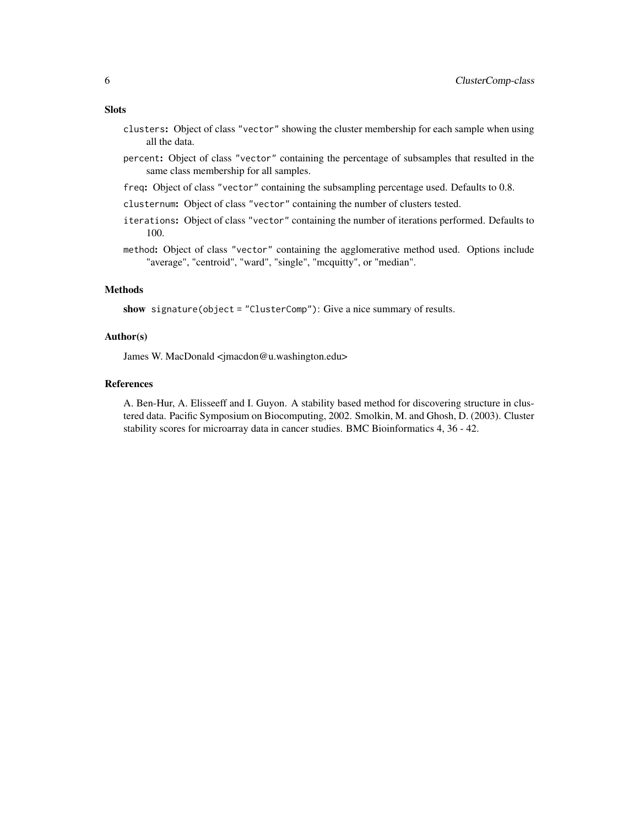#### Slots

- clusters: Object of class "vector" showing the cluster membership for each sample when using all the data.
- percent: Object of class "vector" containing the percentage of subsamples that resulted in the same class membership for all samples.
- freq: Object of class "vector" containing the subsampling percentage used. Defaults to 0.8.
- clusternum: Object of class "vector" containing the number of clusters tested.
- iterations: Object of class "vector" containing the number of iterations performed. Defaults to 100.
- method: Object of class "vector" containing the agglomerative method used. Options include "average", "centroid", "ward", "single", "mcquitty", or "median".

#### Methods

show signature(object = "ClusterComp"): Give a nice summary of results.

#### Author(s)

James W. MacDonald <jmacdon@u.washington.edu>

#### References

A. Ben-Hur, A. Elisseeff and I. Guyon. A stability based method for discovering structure in clustered data. Pacific Symposium on Biocomputing, 2002. Smolkin, M. and Ghosh, D. (2003). Cluster stability scores for microarray data in cancer studies. BMC Bioinformatics 4, 36 - 42.